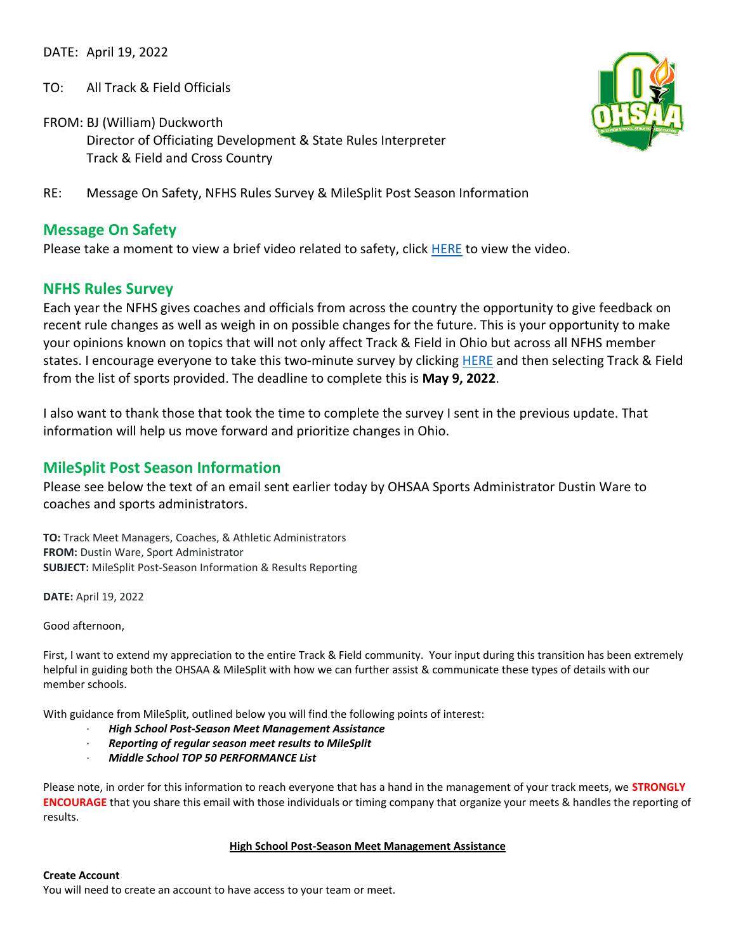DATE: April 19, 2022

- TO: All Track & Field Officials
- FROM: BJ (William) Duckworth Director of Officiating Development & State Rules Interpreter Track & Field and Cross Country
- RE: Message On Safety, NFHS Rules Survey & MileSplit Post Season Information

# **Message On Safety**

Please take a moment to view a brief video related to safety, click [HERE](https://drive.google.com/file/d/1MzxkVa1JCF3_oT6boIEr8tbSWmH_5NLx/view?usp=sharing) to view the video.

## **NFHS Rules Survey**

Each year the NFHS gives coaches and officials from across the country the opportunity to give feedback on recent rule changes as well as weigh in on possible changes for the future. This is your opportunity to make your opinions known on topics that will not only affect Track & Field in Ohio but across all NFHS member states. I encourage everyone to take this two-minute survey by clicking [HERE](http://www.nfhs.org/sports-resource-content/nfhs-sport-questionnaires/) and then selecting Track & Field from the list of sports provided. The deadline to complete this is **May 9, 2022**.

I also want to thank those that took the time to complete the survey I sent in the previous update. That information will help us move forward and prioritize changes in Ohio.

# **MileSplit Post Season Information**

Please see below the text of an email sent earlier today by OHSAA Sports Administrator Dustin Ware to coaches and sports administrators.

**TO:** Track Meet Managers, Coaches, & Athletic Administrators **FROM:** Dustin Ware, Sport Administrator **SUBJECT:** MileSplit Post-Season Information & Results Reporting

**DATE:** April 19, 2022

Good afternoon,

First, I want to extend my appreciation to the entire Track & Field community. Your input during this transition has been extremely helpful in guiding both the OHSAA & MileSplit with how we can further assist & communicate these types of details with our member schools.

With guidance from MileSplit, outlined below you will find the following points of interest:

- · *High School Post-Season Meet Management Assistance*
- · *Reporting of regular season meet results to MileSplit*
- · *Middle School TOP 50 PERFORMANCE List*

Please note, in order for this information to reach everyone that has a hand in the management of your track meets, we **STRONGLY ENCOURAGE** that you share this email with those individuals or timing company that organize your meets & handles the reporting of results.

#### **High School Post-Season Meet Management Assistance**

#### **Create Account**

You will need to create an account to have access to your team or meet.

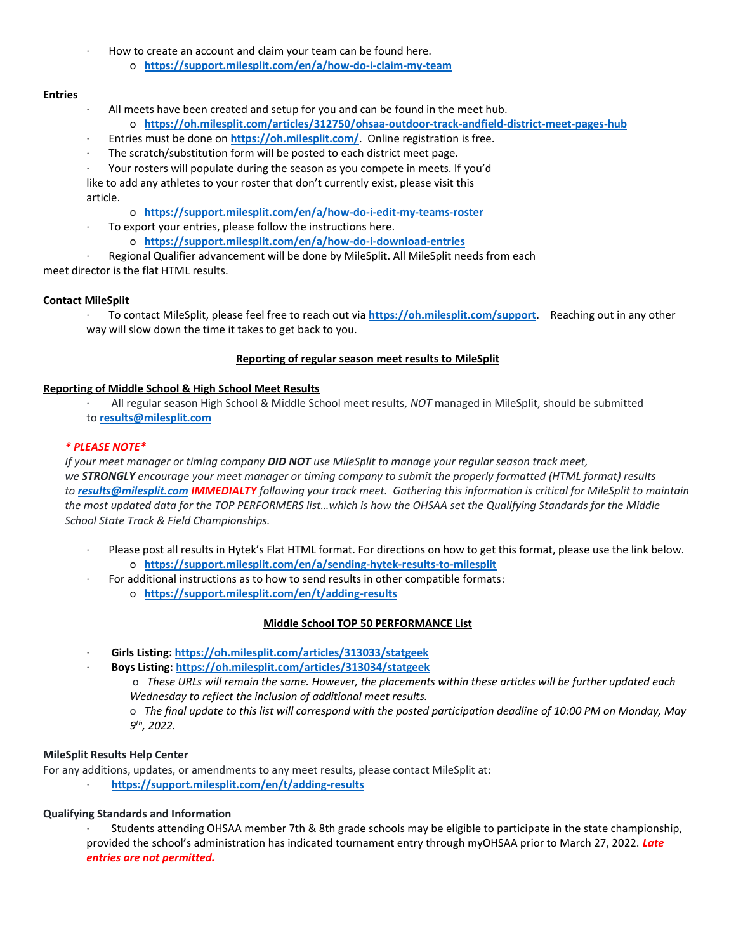- How to create an account and claim your team can be found here.
	- o **<https://support.milesplit.com/en/a/how-do-i-claim-my-team>**

### **Entries**

- · All meets have been created and setup for you and can be found in the meet hub.
	- o **<https://oh.milesplit.com/articles/312750/ohsaa-outdoor-track-andfield-district-meet-pages-hub>**
- Entries must be done on **<https://oh.milesplit.com/>**. Online registration is free.
- The scratch/substitution form will be posted to each district meet page.
- · Your rosters will populate during the season as you compete in meets. If you'd

like to add any athletes to your roster that don't currently exist, please visit this article.

- o **<https://support.milesplit.com/en/a/how-do-i-edit-my-teams-roster>**
- To export your entries, please follow the instructions here.
	- o **<https://support.milesplit.com/en/a/how-do-i-download-entries>**

· Regional Qualifier advancement will be done by MileSplit. All MileSplit needs from each meet director is the flat HTML results.

#### **Contact MileSplit**

· To contact MileSplit, please feel free to reach out via **<https://oh.milesplit.com/support>**. Reaching out in any other way will slow down the time it takes to get back to you.

#### **Reporting of regular season meet results to MileSplit**

#### **Reporting of Middle School & High School Meet Results**

· All regular season High School & Middle School meet results, *NOT* managed in MileSplit, should be submitted to **[results@milesplit.com](mailto:results@milesplit.com)**

### *\* PLEASE NOTE\**

*If your meet manager or timing company DID NOT use MileSplit to manage your regular season track meet, we STRONGLY encourage your meet manager or timing company to submit the properly formatted (HTML format) results to [results@milesplit.com](mailto:results@milesplit.com) IMMEDIALTY following your track meet. Gathering this information is critical for MileSplit to maintain the most updated data for the TOP PERFORMERS list…which is how the OHSAA set the Qualifying Standards for the Middle School State Track & Field Championships.*

- Please post all results in Hytek's Flat HTML format. For directions on how to get this format, please use the link below. o **<https://support.milesplit.com/en/a/sending-hytek-results-to-milesplit>**
- For additional instructions as to how to send results in other compatible formats:
	- o **<https://support.milesplit.com/en/t/adding-results>**

#### **Middle School TOP 50 PERFORMANCE List**

- · **Girls Listing: <https://oh.milesplit.com/articles/313033/statgeek>**
	- · **Boys Listing: <https://oh.milesplit.com/articles/313034/statgeek>**
		- o *These URLs will remain the same. However, the placements within these articles will be further updated each Wednesday to reflect the inclusion of additional meet results.*

o *The final update to this list will correspond with the posted participation deadline of 10:00 PM on Monday, May 9 th, 2022.*

#### **MileSplit Results Help Center**

For any additions, updates, or amendments to any meet results, please contact MileSplit at:

· **<https://support.milesplit.com/en/t/adding-results>**

#### **Qualifying Standards and Information**

· Students attending OHSAA member 7th & 8th grade schools may be eligible to participate in the state championship, provided the school's administration has indicated tournament entry through myOHSAA prior to March 27, 2022. *Late entries are not permitted.*